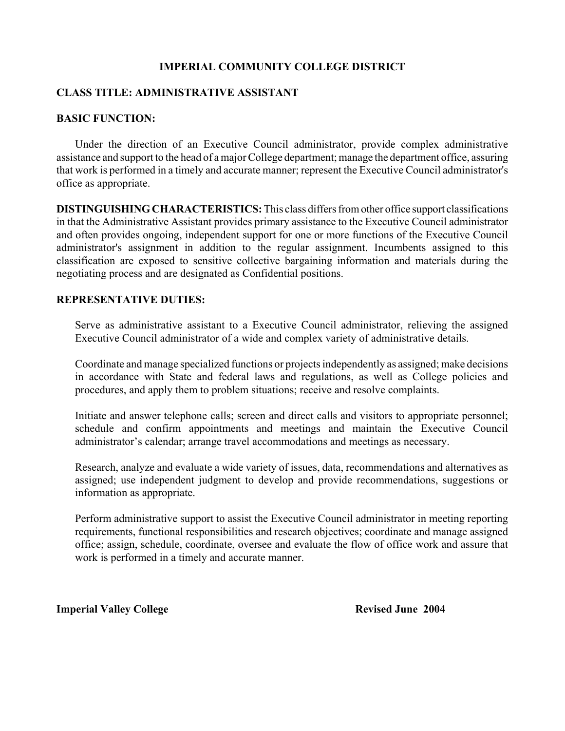## **IMPERIAL COMMUNITY COLLEGE DISTRICT**

## **CLASS TITLE: ADMINISTRATIVE ASSISTANT**

#### **BASIC FUNCTION:**

Under the direction of an Executive Council administrator, provide complex administrative assistance and support to the head of a major College department; manage the department office, assuring that work is performed in a timely and accurate manner; represent the Executive Council administrator's office as appropriate.

**DISTINGUISHING CHARACTERISTICS:** This class differs from other office support classifications in that the Administrative Assistant provides primary assistance to the Executive Council administrator and often provides ongoing, independent support for one or more functions of the Executive Council administrator's assignment in addition to the regular assignment. Incumbents assigned to this classification are exposed to sensitive collective bargaining information and materials during the negotiating process and are designated as Confidential positions.

## **REPRESENTATIVE DUTIES:**

Serve as administrative assistant to a Executive Council administrator, relieving the assigned Executive Council administrator of a wide and complex variety of administrative details.

Coordinate and manage specialized functions or projects independently as assigned; make decisions in accordance with State and federal laws and regulations, as well as College policies and procedures, and apply them to problem situations; receive and resolve complaints.

Initiate and answer telephone calls; screen and direct calls and visitors to appropriate personnel; schedule and confirm appointments and meetings and maintain the Executive Council administrator's calendar; arrange travel accommodations and meetings as necessary.

Research, analyze and evaluate a wide variety of issues, data, recommendations and alternatives as assigned; use independent judgment to develop and provide recommendations, suggestions or information as appropriate.

Perform administrative support to assist the Executive Council administrator in meeting reporting requirements, functional responsibilities and research objectives; coordinate and manage assigned office; assign, schedule, coordinate, oversee and evaluate the flow of office work and assure that work is performed in a timely and accurate manner.

**Imperial Valley College Revised June 2004**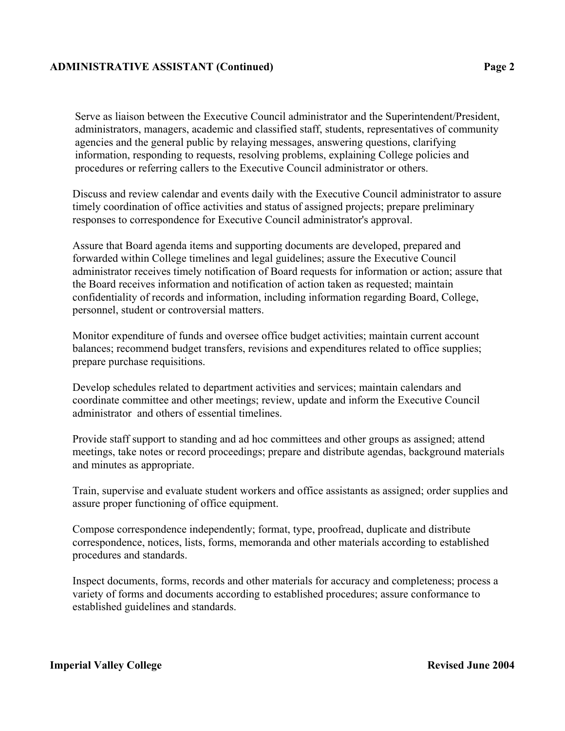### **ADMINISTRATIVE ASSISTANT (Continued) Page 2**

Serve as liaison between the Executive Council administrator and the Superintendent/President, administrators, managers, academic and classified staff, students, representatives of community agencies and the general public by relaying messages, answering questions, clarifying information, responding to requests, resolving problems, explaining College policies and procedures or referring callers to the Executive Council administrator or others.

Discuss and review calendar and events daily with the Executive Council administrator to assure timely coordination of office activities and status of assigned projects; prepare preliminary responses to correspondence for Executive Council administrator's approval.

Assure that Board agenda items and supporting documents are developed, prepared and forwarded within College timelines and legal guidelines; assure the Executive Council administrator receives timely notification of Board requests for information or action; assure that the Board receives information and notification of action taken as requested; maintain confidentiality of records and information, including information regarding Board, College, personnel, student or controversial matters.

Monitor expenditure of funds and oversee office budget activities; maintain current account balances; recommend budget transfers, revisions and expenditures related to office supplies; prepare purchase requisitions.

Develop schedules related to department activities and services; maintain calendars and coordinate committee and other meetings; review, update and inform the Executive Council administrator and others of essential timelines.

Provide staff support to standing and ad hoc committees and other groups as assigned; attend meetings, take notes or record proceedings; prepare and distribute agendas, background materials and minutes as appropriate.

Train, supervise and evaluate student workers and office assistants as assigned; order supplies and assure proper functioning of office equipment.

Compose correspondence independently; format, type, proofread, duplicate and distribute correspondence, notices, lists, forms, memoranda and other materials according to established procedures and standards.

Inspect documents, forms, records and other materials for accuracy and completeness; process a variety of forms and documents according to established procedures; assure conformance to established guidelines and standards.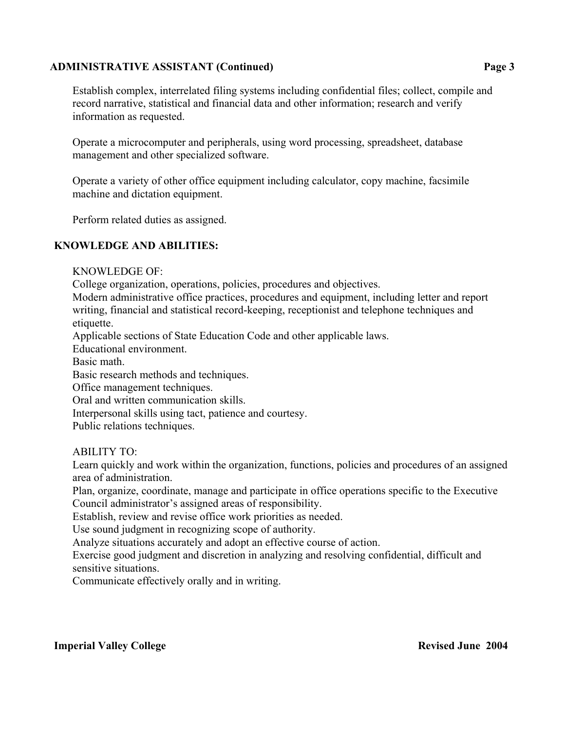# **ADMINISTRATIVE ASSISTANT (Continued) Page 3**

Establish complex, interrelated filing systems including confidential files; collect, compile and record narrative, statistical and financial data and other information; research and verify information as requested.

Operate a microcomputer and peripherals, using word processing, spreadsheet, database management and other specialized software.

Operate a variety of other office equipment including calculator, copy machine, facsimile machine and dictation equipment.

Perform related duties as assigned.

# **KNOWLEDGE AND ABILITIES:**

KNOWLEDGE OF:

College organization, operations, policies, procedures and objectives.

Modern administrative office practices, procedures and equipment, including letter and report writing, financial and statistical record-keeping, receptionist and telephone techniques and etiquette.

Applicable sections of State Education Code and other applicable laws.

Educational environment.

Basic math.

Basic research methods and techniques.

Office management techniques.

Oral and written communication skills.

Interpersonal skills using tact, patience and courtesy.

Public relations techniques.

ABILITY TO:

Learn quickly and work within the organization, functions, policies and procedures of an assigned area of administration.

Plan, organize, coordinate, manage and participate in office operations specific to the Executive Council administrator's assigned areas of responsibility.

Establish, review and revise office work priorities as needed.

Use sound judgment in recognizing scope of authority.

Analyze situations accurately and adopt an effective course of action.

Exercise good judgment and discretion in analyzing and resolving confidential, difficult and sensitive situations.

Communicate effectively orally and in writing.